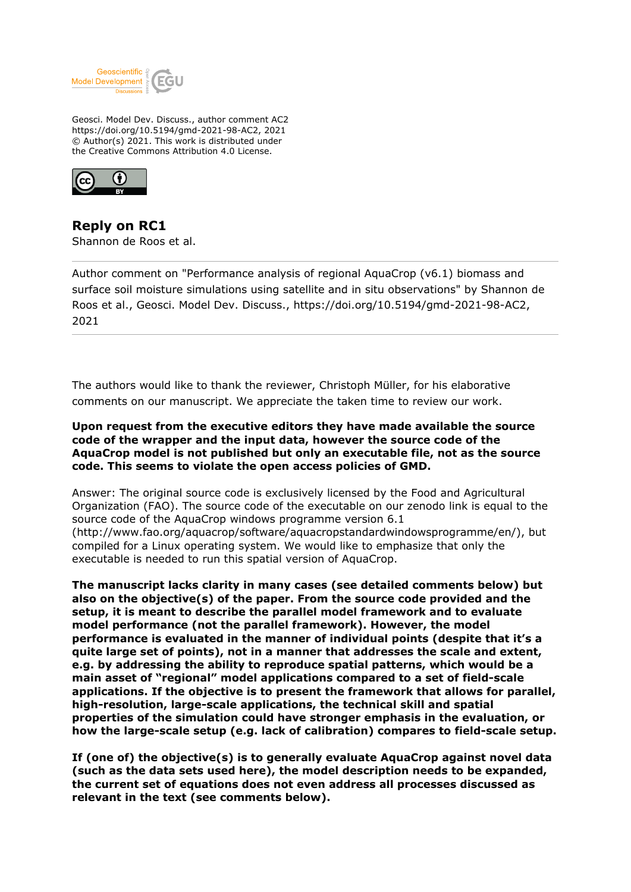

Geosci. Model Dev. Discuss., author comment AC2 https://doi.org/10.5194/gmd-2021-98-AC2, 2021 © Author(s) 2021. This work is distributed under the Creative Commons Attribution 4.0 License.



**Reply on RC1** Shannon de Roos et al.

Author comment on "Performance analysis of regional AquaCrop (v6.1) biomass and surface soil moisture simulations using satellite and in situ observations" by Shannon de Roos et al., Geosci. Model Dev. Discuss., https://doi.org/10.5194/gmd-2021-98-AC2, 2021

The authors would like to thank the reviewer, Christoph Müller, for his elaborative comments on our manuscript. We appreciate the taken time to review our work.

#### **Upon request from the executive editors they have made available the source code of the wrapper and the input data, however the source code of the AquaCrop model is not published but only an executable file, not as the source code. This seems to violate the open access policies of GMD.**

Answer: The original source code is exclusively licensed by the Food and Agricultural Organization (FAO). The source code of the executable on our zenodo link is equal to the source code of the AquaCrop windows programme version 6.1 (http://www.fao.org/aquacrop/software/aquacropstandardwindowsprogramme/en/), but compiled for a Linux operating system. We would like to emphasize that only the executable is needed to run this spatial version of AquaCrop.

**The manuscript lacks clarity in many cases (see detailed comments below) but also on the objective(s) of the paper. From the source code provided and the setup, it is meant to describe the parallel model framework and to evaluate model performance (not the parallel framework). However, the model performance is evaluated in the manner of individual points (despite that it's a quite large set of points), not in a manner that addresses the scale and extent, e.g. by addressing the ability to reproduce spatial patterns, which would be a main asset of "regional" model applications compared to a set of field-scale applications. If the objective is to present the framework that allows for parallel, high-resolution, large-scale applications, the technical skill and spatial properties of the simulation could have stronger emphasis in the evaluation, or how the large-scale setup (e.g. lack of calibration) compares to field-scale setup.**

**If (one of) the objective(s) is to generally evaluate AquaCrop against novel data (such as the data sets used here), the model description needs to be expanded, the current set of equations does not even address all processes discussed as relevant in the text (see comments below).**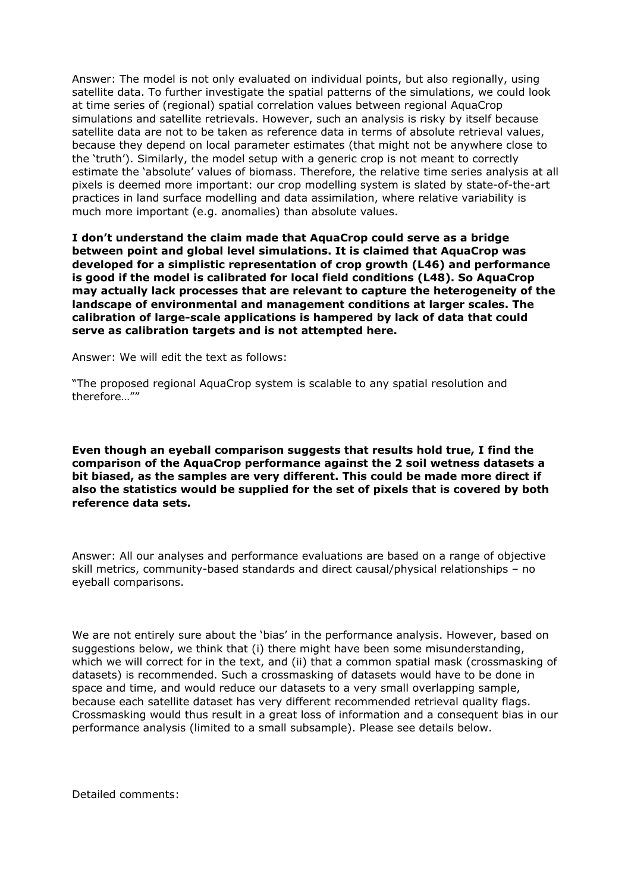Answer: The model is not only evaluated on individual points, but also regionally, using satellite data. To further investigate the spatial patterns of the simulations, we could look at time series of (regional) spatial correlation values between regional AquaCrop simulations and satellite retrievals. However, such an analysis is risky by itself because satellite data are not to be taken as reference data in terms of absolute retrieval values, because they depend on local parameter estimates (that might not be anywhere close to the 'truth'). Similarly, the model setup with a generic crop is not meant to correctly estimate the 'absolute' values of biomass. Therefore, the relative time series analysis at all pixels is deemed more important: our crop modelling system is slated by state-of-the-art practices in land surface modelling and data assimilation, where relative variability is much more important (e.g. anomalies) than absolute values.

**I don't understand the claim made that AquaCrop could serve as a bridge between point and global level simulations. It is claimed that AquaCrop was developed for a simplistic representation of crop growth (L46) and performance is good if the model is calibrated for local field conditions (L48). So AquaCrop may actually lack processes that are relevant to capture the heterogeneity of the landscape of environmental and management conditions at larger scales. The calibration of large-scale applications is hampered by lack of data that could serve as calibration targets and is not attempted here.**

Answer: We will edit the text as follows:

"The proposed regional AquaCrop system is scalable to any spatial resolution and therefore…""

**Even though an eyeball comparison suggests that results hold true, I find the comparison of the AquaCrop performance against the 2 soil wetness datasets a bit biased, as the samples are very different. This could be made more direct if also the statistics would be supplied for the set of pixels that is covered by both reference data sets.**

Answer: All our analyses and performance evaluations are based on a range of objective skill metrics, community-based standards and direct causal/physical relationships – no eyeball comparisons.

We are not entirely sure about the 'bias' in the performance analysis. However, based on suggestions below, we think that (i) there might have been some misunderstanding, which we will correct for in the text, and (ii) that a common spatial mask (crossmasking of datasets) is recommended. Such a crossmasking of datasets would have to be done in space and time, and would reduce our datasets to a very small overlapping sample, because each satellite dataset has very different recommended retrieval quality flags. Crossmasking would thus result in a great loss of information and a consequent bias in our performance analysis (limited to a small subsample). Please see details below.

Detailed comments: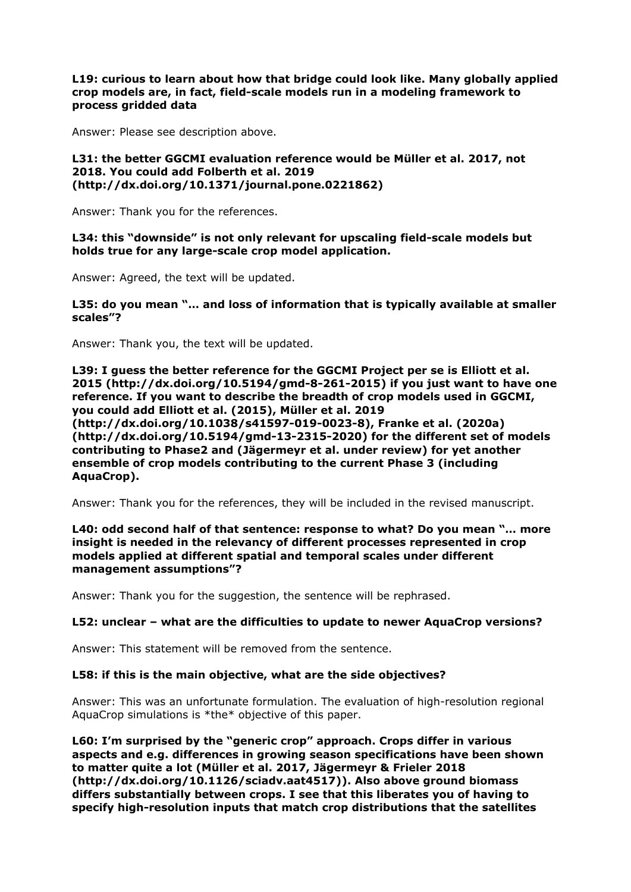**L19: curious to learn about how that bridge could look like. Many globally applied crop models are, in fact, field-scale models run in a modeling framework to process gridded data**

Answer: Please see description above.

#### **L31: the better GGCMI evaluation reference would be Müller et al. 2017, not 2018. You could add Folberth et al. 2019 (http://dx.doi.org/10.1371/journal.pone.0221862)**

Answer: Thank you for the references.

**L34: this "downside" is not only relevant for upscaling field-scale models but holds true for any large-scale crop model application.**

Answer: Agreed, the text will be updated.

## **L35: do you mean "… and loss of information that is typically available at smaller scales"?**

Answer: Thank you, the text will be updated.

**L39: I guess the better reference for the GGCMI Project per se is Elliott et al. 2015 (http://dx.doi.org/10.5194/gmd-8-261-2015) if you just want to have one reference. If you want to describe the breadth of crop models used in GGCMI, you could add Elliott et al. (2015), Müller et al. 2019 (http://dx.doi.org/10.1038/s41597-019-0023-8), Franke et al. (2020a) (http://dx.doi.org/10.5194/gmd-13-2315-2020) for the different set of models contributing to Phase2 and (Jägermeyr et al. under review) for yet another ensemble of crop models contributing to the current Phase 3 (including AquaCrop).**

Answer: Thank you for the references, they will be included in the revised manuscript.

## **L40: odd second half of that sentence: response to what? Do you mean "… more insight is needed in the relevancy of different processes represented in crop models applied at different spatial and temporal scales under different management assumptions"?**

Answer: Thank you for the suggestion, the sentence will be rephrased.

#### **L52: unclear – what are the difficulties to update to newer AquaCrop versions?**

Answer: This statement will be removed from the sentence.

#### **L58: if this is the main objective, what are the side objectives?**

Answer: This was an unfortunate formulation. The evaluation of high-resolution regional AquaCrop simulations is \*the\* objective of this paper.

**L60: I'm surprised by the "generic crop" approach. Crops differ in various aspects and e.g. differences in growing season specifications have been shown to matter quite a lot (Müller et al. 2017, Jägermeyr & Frieler 2018 (http://dx.doi.org/10.1126/sciadv.aat4517)). Also above ground biomass differs substantially between crops. I see that this liberates you of having to specify high-resolution inputs that match crop distributions that the satellites**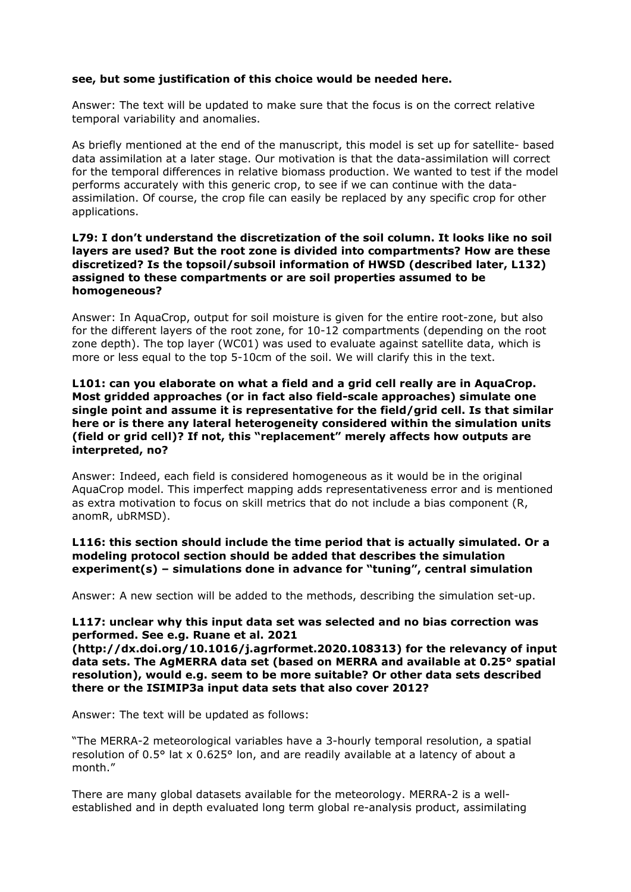## **see, but some justification of this choice would be needed here.**

Answer: The text will be updated to make sure that the focus is on the correct relative temporal variability and anomalies.

As briefly mentioned at the end of the manuscript, this model is set up for satellite- based data assimilation at a later stage. Our motivation is that the data-assimilation will correct for the temporal differences in relative biomass production. We wanted to test if the model performs accurately with this generic crop, to see if we can continue with the dataassimilation. Of course, the crop file can easily be replaced by any specific crop for other applications.

#### **L79: I don't understand the discretization of the soil column. It looks like no soil layers are used? But the root zone is divided into compartments? How are these discretized? Is the topsoil/subsoil information of HWSD (described later, L132) assigned to these compartments or are soil properties assumed to be homogeneous?**

Answer: In AquaCrop, output for soil moisture is given for the entire root-zone, but also for the different layers of the root zone, for 10-12 compartments (depending on the root zone depth). The top layer (WC01) was used to evaluate against satellite data, which is more or less equal to the top 5-10cm of the soil. We will clarify this in the text.

#### **L101: can you elaborate on what a field and a grid cell really are in AquaCrop. Most gridded approaches (or in fact also field-scale approaches) simulate one single point and assume it is representative for the field/grid cell. Is that similar here or is there any lateral heterogeneity considered within the simulation units (field or grid cell)? If not, this "replacement" merely affects how outputs are interpreted, no?**

Answer: Indeed, each field is considered homogeneous as it would be in the original AquaCrop model. This imperfect mapping adds representativeness error and is mentioned as extra motivation to focus on skill metrics that do not include a bias component (R, anomR, ubRMSD).

## **L116: this section should include the time period that is actually simulated. Or a modeling protocol section should be added that describes the simulation experiment(s) – simulations done in advance for "tuning", central simulation**

Answer: A new section will be added to the methods, describing the simulation set-up.

## **L117: unclear why this input data set was selected and no bias correction was performed. See e.g. Ruane et al. 2021**

**(http://dx.doi.org/10.1016/j.agrformet.2020.108313) for the relevancy of input data sets. The AgMERRA data set (based on MERRA and available at 0.25° spatial resolution), would e.g. seem to be more suitable? Or other data sets described there or the ISIMIP3a input data sets that also cover 2012?**

Answer: The text will be updated as follows:

"The MERRA-2 meteorological variables have a 3-hourly temporal resolution, a spatial resolution of 0.5° lat x 0.625° lon, and are readily available at a latency of about a month."

There are many global datasets available for the meteorology. MERRA-2 is a wellestablished and in depth evaluated long term global re-analysis product, assimilating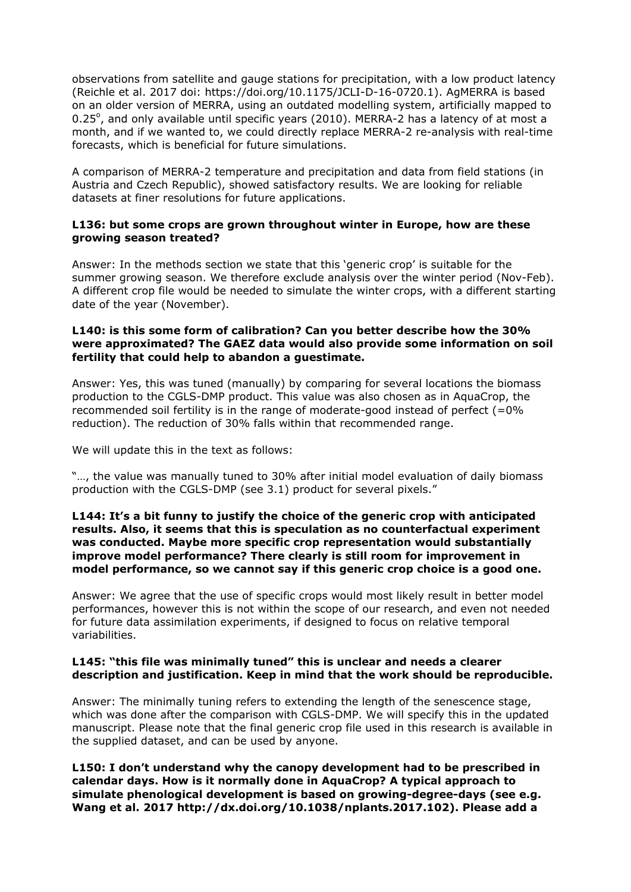observations from satellite and gauge stations for precipitation, with a low product latency (Reichle et al. 2017 doi: https://doi.org/10.1175/JCLI-D-16-0720.1). AgMERRA is based on an older version of MERRA, using an outdated modelling system, artificially mapped to 0.25 $^{\circ}$ , and only available until specific years (2010). MERRA-2 has a latency of at most a month, and if we wanted to, we could directly replace MERRA-2 re-analysis with real-time forecasts, which is beneficial for future simulations.

A comparison of MERRA-2 temperature and precipitation and data from field stations (in Austria and Czech Republic), showed satisfactory results. We are looking for reliable datasets at finer resolutions for future applications.

#### **L136: but some crops are grown throughout winter in Europe, how are these growing season treated?**

Answer: In the methods section we state that this 'generic crop' is suitable for the summer growing season. We therefore exclude analysis over the winter period (Nov-Feb). A different crop file would be needed to simulate the winter crops, with a different starting date of the year (November).

## **L140: is this some form of calibration? Can you better describe how the 30% were approximated? The GAEZ data would also provide some information on soil fertility that could help to abandon a guestimate.**

Answer: Yes, this was tuned (manually) by comparing for several locations the biomass production to the CGLS-DMP product. This value was also chosen as in AquaCrop, the recommended soil fertility is in the range of moderate-good instead of perfect  $(=0\%$ reduction). The reduction of 30% falls within that recommended range.

We will update this in the text as follows:

"…, the value was manually tuned to 30% after initial model evaluation of daily biomass production with the CGLS-DMP (see 3.1) product for several pixels."

#### **L144: It's a bit funny to justify the choice of the generic crop with anticipated results. Also, it seems that this is speculation as no counterfactual experiment was conducted. Maybe more specific crop representation would substantially improve model performance? There clearly is still room for improvement in model performance, so we cannot say if this generic crop choice is a good one.**

Answer: We agree that the use of specific crops would most likely result in better model performances, however this is not within the scope of our research, and even not needed for future data assimilation experiments, if designed to focus on relative temporal variabilities.

## **L145: "this file was minimally tuned" this is unclear and needs a clearer description and justification. Keep in mind that the work should be reproducible.**

Answer: The minimally tuning refers to extending the length of the senescence stage, which was done after the comparison with CGLS-DMP. We will specify this in the updated manuscript. Please note that the final generic crop file used in this research is available in the supplied dataset, and can be used by anyone.

**L150: I don't understand why the canopy development had to be prescribed in calendar days. How is it normally done in AquaCrop? A typical approach to simulate phenological development is based on growing-degree-days (see e.g. Wang et al. 2017 http://dx.doi.org/10.1038/nplants.2017.102). Please add a**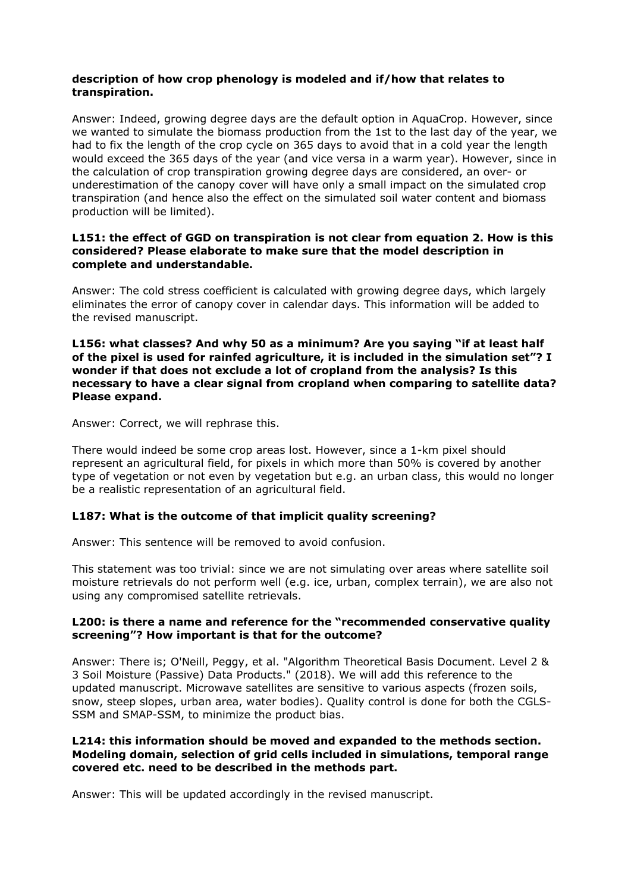## **description of how crop phenology is modeled and if/how that relates to transpiration.**

Answer: Indeed, growing degree days are the default option in AquaCrop. However, since we wanted to simulate the biomass production from the 1st to the last day of the year, we had to fix the length of the crop cycle on 365 days to avoid that in a cold year the length would exceed the 365 days of the year (and vice versa in a warm year). However, since in the calculation of crop transpiration growing degree days are considered, an over- or underestimation of the canopy cover will have only a small impact on the simulated crop transpiration (and hence also the effect on the simulated soil water content and biomass production will be limited).

## **L151: the effect of GGD on transpiration is not clear from equation 2. How is this considered? Please elaborate to make sure that the model description in complete and understandable.**

Answer: The cold stress coefficient is calculated with growing degree days, which largely eliminates the error of canopy cover in calendar days. This information will be added to the revised manuscript.

**L156: what classes? And why 50 as a minimum? Are you saying "if at least half of the pixel is used for rainfed agriculture, it is included in the simulation set"? I wonder if that does not exclude a lot of cropland from the analysis? Is this necessary to have a clear signal from cropland when comparing to satellite data? Please expand.**

Answer: Correct, we will rephrase this.

There would indeed be some crop areas lost. However, since a 1-km pixel should represent an agricultural field, for pixels in which more than 50% is covered by another type of vegetation or not even by vegetation but e.g. an urban class, this would no longer be a realistic representation of an agricultural field.

# **L187: What is the outcome of that implicit quality screening?**

Answer: This sentence will be removed to avoid confusion.

This statement was too trivial: since we are not simulating over areas where satellite soil moisture retrievals do not perform well (e.g. ice, urban, complex terrain), we are also not using any compromised satellite retrievals.

## **L200: is there a name and reference for the "recommended conservative quality screening"? How important is that for the outcome?**

Answer: There is; O'Neill, Peggy, et al. "Algorithm Theoretical Basis Document. Level 2 & 3 Soil Moisture (Passive) Data Products." (2018). We will add this reference to the updated manuscript. Microwave satellites are sensitive to various aspects (frozen soils, snow, steep slopes, urban area, water bodies). Quality control is done for both the CGLS-SSM and SMAP-SSM, to minimize the product bias.

## **L214: this information should be moved and expanded to the methods section. Modeling domain, selection of grid cells included in simulations, temporal range covered etc. need to be described in the methods part.**

Answer: This will be updated accordingly in the revised manuscript.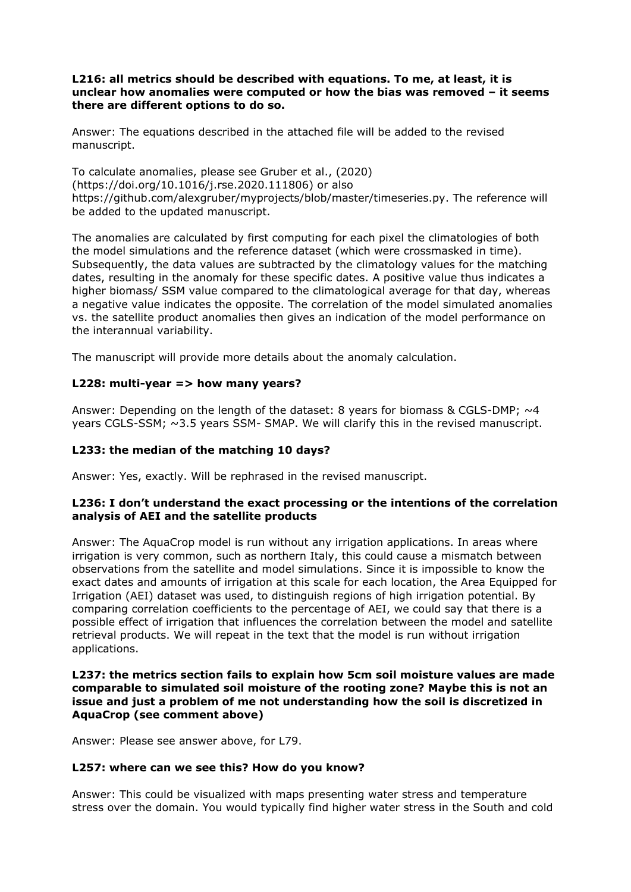## **L216: all metrics should be described with equations. To me, at least, it is unclear how anomalies were computed or how the bias was removed – it seems there are different options to do so.**

Answer: The equations described in the attached file will be added to the revised manuscript.

To calculate anomalies, please see Gruber et al., (2020) (https://doi.org/10.1016/j.rse.2020.111806) or also https://github.com/alexgruber/myprojects/blob/master/timeseries.py. The reference will be added to the updated manuscript.

The anomalies are calculated by first computing for each pixel the climatologies of both the model simulations and the reference dataset (which were crossmasked in time). Subsequently, the data values are subtracted by the climatology values for the matching dates, resulting in the anomaly for these specific dates. A positive value thus indicates a higher biomass/ SSM value compared to the climatological average for that day, whereas a negative value indicates the opposite. The correlation of the model simulated anomalies vs. the satellite product anomalies then gives an indication of the model performance on the interannual variability.

The manuscript will provide more details about the anomaly calculation.

# **L228: multi-year => how many years?**

Answer: Depending on the length of the dataset: 8 years for biomass & CGLS-DMP;  $\sim$ 4 years CGLS-SSM; ~3.5 years SSM- SMAP. We will clarify this in the revised manuscript.

# **L233: the median of the matching 10 days?**

Answer: Yes, exactly. Will be rephrased in the revised manuscript.

## **L236: I don't understand the exact processing or the intentions of the correlation analysis of AEI and the satellite products**

Answer: The AquaCrop model is run without any irrigation applications. In areas where irrigation is very common, such as northern Italy, this could cause a mismatch between observations from the satellite and model simulations. Since it is impossible to know the exact dates and amounts of irrigation at this scale for each location, the Area Equipped for Irrigation (AEI) dataset was used, to distinguish regions of high irrigation potential. By comparing correlation coefficients to the percentage of AEI, we could say that there is a possible effect of irrigation that influences the correlation between the model and satellite retrieval products. We will repeat in the text that the model is run without irrigation applications.

#### **L237: the metrics section fails to explain how 5cm soil moisture values are made comparable to simulated soil moisture of the rooting zone? Maybe this is not an issue and just a problem of me not understanding how the soil is discretized in AquaCrop (see comment above)**

Answer: Please see answer above, for L79.

#### **L257: where can we see this? How do you know?**

Answer: This could be visualized with maps presenting water stress and temperature stress over the domain. You would typically find higher water stress in the South and cold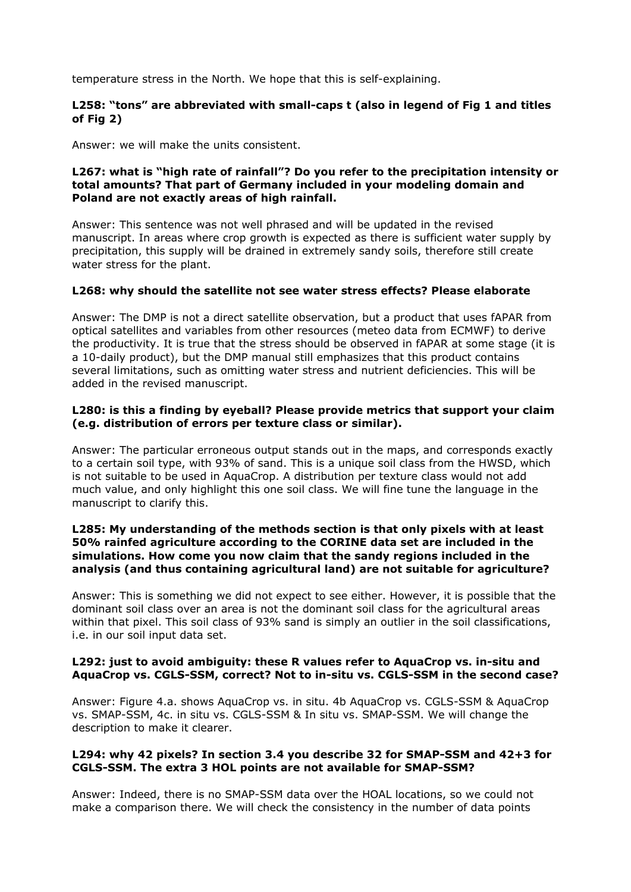temperature stress in the North. We hope that this is self-explaining.

## **L258: "tons" are abbreviated with small-caps t (also in legend of Fig 1 and titles of Fig 2)**

Answer: we will make the units consistent.

## **L267: what is "high rate of rainfall"? Do you refer to the precipitation intensity or total amounts? That part of Germany included in your modeling domain and Poland are not exactly areas of high rainfall.**

Answer: This sentence was not well phrased and will be updated in the revised manuscript. In areas where crop growth is expected as there is sufficient water supply by precipitation, this supply will be drained in extremely sandy soils, therefore still create water stress for the plant.

## **L268: why should the satellite not see water stress effects? Please elaborate**

Answer: The DMP is not a direct satellite observation, but a product that uses fAPAR from optical satellites and variables from other resources (meteo data from ECMWF) to derive the productivity. It is true that the stress should be observed in fAPAR at some stage (it is a 10-daily product), but the DMP manual still emphasizes that this product contains several limitations, such as omitting water stress and nutrient deficiencies. This will be added in the revised manuscript.

## **L280: is this a finding by eyeball? Please provide metrics that support your claim (e.g. distribution of errors per texture class or similar).**

Answer: The particular erroneous output stands out in the maps, and corresponds exactly to a certain soil type, with 93% of sand. This is a unique soil class from the HWSD, which is not suitable to be used in AquaCrop. A distribution per texture class would not add much value, and only highlight this one soil class. We will fine tune the language in the manuscript to clarify this.

#### **L285: My understanding of the methods section is that only pixels with at least 50% rainfed agriculture according to the CORINE data set are included in the simulations. How come you now claim that the sandy regions included in the analysis (and thus containing agricultural land) are not suitable for agriculture?**

Answer: This is something we did not expect to see either. However, it is possible that the dominant soil class over an area is not the dominant soil class for the agricultural areas within that pixel. This soil class of 93% sand is simply an outlier in the soil classifications, i.e. in our soil input data set.

## **L292: just to avoid ambiguity: these R values refer to AquaCrop vs. in-situ and AquaCrop vs. CGLS-SSM, correct? Not to in-situ vs. CGLS-SSM in the second case?**

Answer: Figure 4.a. shows AquaCrop vs. in situ. 4b AquaCrop vs. CGLS-SSM & AquaCrop vs. SMAP-SSM, 4c. in situ vs. CGLS-SSM & In situ vs. SMAP-SSM. We will change the description to make it clearer.

#### **L294: why 42 pixels? In section 3.4 you describe 32 for SMAP-SSM and 42+3 for CGLS-SSM. The extra 3 HOL points are not available for SMAP-SSM?**

Answer: Indeed, there is no SMAP-SSM data over the HOAL locations, so we could not make a comparison there. We will check the consistency in the number of data points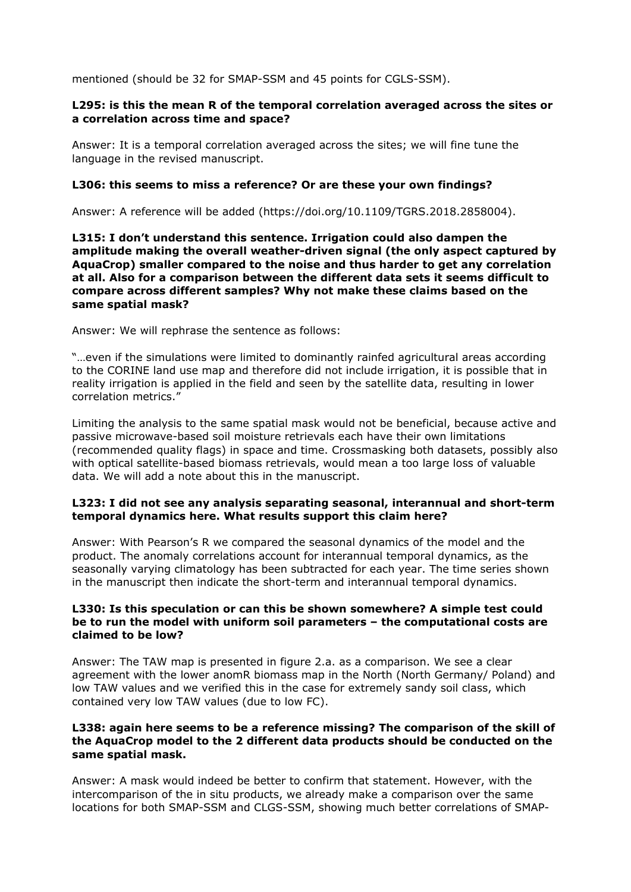mentioned (should be 32 for SMAP-SSM and 45 points for CGLS-SSM).

## **L295: is this the mean R of the temporal correlation averaged across the sites or a correlation across time and space?**

Answer: It is a temporal correlation averaged across the sites; we will fine tune the language in the revised manuscript.

## **L306: this seems to miss a reference? Or are these your own findings?**

Answer: A reference will be added (https://doi.org/10.1109/TGRS.2018.2858004).

**L315: I don't understand this sentence. Irrigation could also dampen the amplitude making the overall weather-driven signal (the only aspect captured by AquaCrop) smaller compared to the noise and thus harder to get any correlation at all. Also for a comparison between the different data sets it seems difficult to compare across different samples? Why not make these claims based on the same spatial mask?**

Answer: We will rephrase the sentence as follows:

"…even if the simulations were limited to dominantly rainfed agricultural areas according to the CORINE land use map and therefore did not include irrigation, it is possible that in reality irrigation is applied in the field and seen by the satellite data, resulting in lower correlation metrics."

Limiting the analysis to the same spatial mask would not be beneficial, because active and passive microwave-based soil moisture retrievals each have their own limitations (recommended quality flags) in space and time. Crossmasking both datasets, possibly also with optical satellite-based biomass retrievals, would mean a too large loss of valuable data. We will add a note about this in the manuscript.

## **L323: I did not see any analysis separating seasonal, interannual and short-term temporal dynamics here. What results support this claim here?**

Answer: With Pearson's R we compared the seasonal dynamics of the model and the product. The anomaly correlations account for interannual temporal dynamics, as the seasonally varying climatology has been subtracted for each year. The time series shown in the manuscript then indicate the short-term and interannual temporal dynamics.

## **L330: Is this speculation or can this be shown somewhere? A simple test could be to run the model with uniform soil parameters – the computational costs are claimed to be low?**

Answer: The TAW map is presented in figure 2.a. as a comparison. We see a clear agreement with the lower anomR biomass map in the North (North Germany/ Poland) and low TAW values and we verified this in the case for extremely sandy soil class, which contained very low TAW values (due to low FC).

## **L338: again here seems to be a reference missing? The comparison of the skill of the AquaCrop model to the 2 different data products should be conducted on the same spatial mask.**

Answer: A mask would indeed be better to confirm that statement. However, with the intercomparison of the in situ products, we already make a comparison over the same locations for both SMAP-SSM and CLGS-SSM, showing much better correlations of SMAP-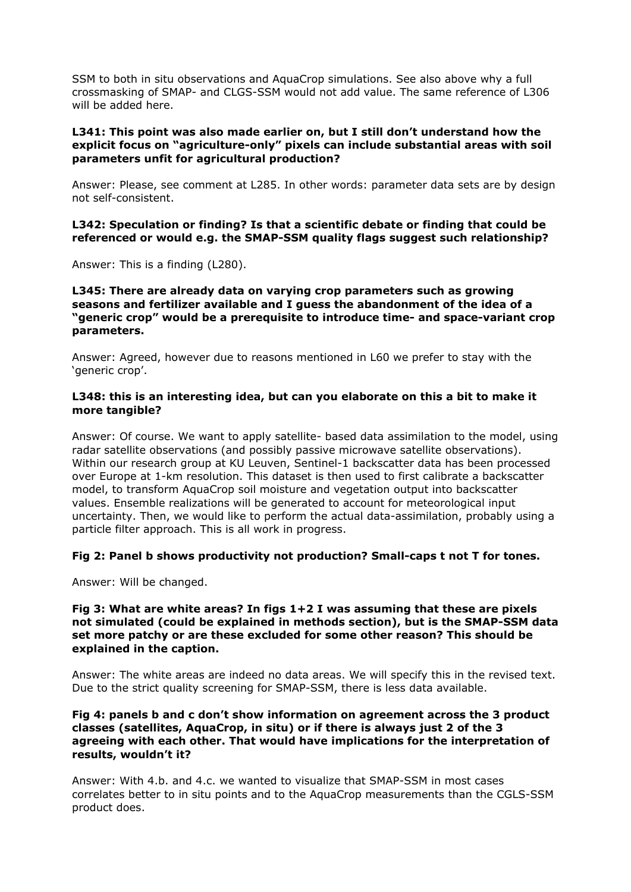SSM to both in situ observations and AquaCrop simulations. See also above why a full crossmasking of SMAP- and CLGS-SSM would not add value. The same reference of L306 will be added here.

#### **L341: This point was also made earlier on, but I still don't understand how the explicit focus on "agriculture-only" pixels can include substantial areas with soil parameters unfit for agricultural production?**

Answer: Please, see comment at L285. In other words: parameter data sets are by design not self-consistent.

#### **L342: Speculation or finding? Is that a scientific debate or finding that could be referenced or would e.g. the SMAP-SSM quality flags suggest such relationship?**

Answer: This is a finding (L280).

#### **L345: There are already data on varying crop parameters such as growing seasons and fertilizer available and I guess the abandonment of the idea of a "generic crop" would be a prerequisite to introduce time- and space-variant crop parameters.**

Answer: Agreed, however due to reasons mentioned in L60 we prefer to stay with the 'generic crop'.

## **L348: this is an interesting idea, but can you elaborate on this a bit to make it more tangible?**

Answer: Of course. We want to apply satellite- based data assimilation to the model, using radar satellite observations (and possibly passive microwave satellite observations). Within our research group at KU Leuven, Sentinel-1 backscatter data has been processed over Europe at 1-km resolution. This dataset is then used to first calibrate a backscatter model, to transform AquaCrop soil moisture and vegetation output into backscatter values. Ensemble realizations will be generated to account for meteorological input uncertainty. Then, we would like to perform the actual data-assimilation, probably using a particle filter approach. This is all work in progress.

#### **Fig 2: Panel b shows productivity not production? Small-caps t not T for tones.**

Answer: Will be changed.

## **Fig 3: What are white areas? In figs 1+2 I was assuming that these are pixels not simulated (could be explained in methods section), but is the SMAP-SSM data set more patchy or are these excluded for some other reason? This should be explained in the caption.**

Answer: The white areas are indeed no data areas. We will specify this in the revised text. Due to the strict quality screening for SMAP-SSM, there is less data available.

#### **Fig 4: panels b and c don't show information on agreement across the 3 product classes (satellites, AquaCrop, in situ) or if there is always just 2 of the 3 agreeing with each other. That would have implications for the interpretation of results, wouldn't it?**

Answer: With 4.b. and 4.c. we wanted to visualize that SMAP-SSM in most cases correlates better to in situ points and to the AquaCrop measurements than the CGLS-SSM product does.